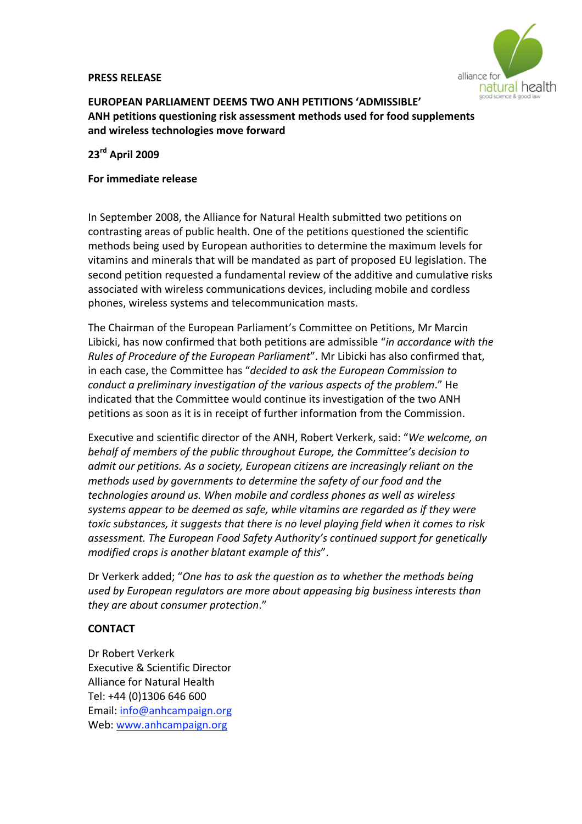### **PRESS
RELEASE**



# **EUROPEAN
PARLIAMENT
DEEMS
TWO
ANH
PETITIONS
'ADMISSIBLE'** ANH petitions questioning risk assessment methods used for food supplements **and
wireless
technologies
move
forward**

# **23rd
April
2009**

## **For
immediate
release**

In
September
2008,
the
Alliance
for
Natural
Health
submitted
two
petitions
on contrasting
areas
of
public
health.
One
of
the
petitions
questioned
the
scientific methods
being
used
by
European
authorities
to
determine
the
maximum
levels
for vitamins
and
minerals
that
will
be
mandated
as
part
of
proposed
EU
legislation.
The second petition requested a fundamental review of the additive and cumulative risks associated
with
wireless
communications
devices,
including
mobile
and
cordless phones,
wireless
systems
and
telecommunication
masts.

The Chairman of the European Parliament's Committee on Petitions, Mr Marcin Libicki,
has
now
confirmed
that
both
petitions
are
admissible
"*in
accordance
with
the*  Rules of Procedure of the European Parliament<sup>"</sup>. Mr Libicki has also confirmed that, in
each
case,
the
Committee
has
"*decided
to
ask
the
European
Commission
to*  conduct a preliminary investigation of the various aspects of the problem." He indicated that the Committee would continue its investigation of the two ANH petitions as soon as it is in receipt of further information from the Commission.

Executive
and
scientific
director
of
the
ANH,
Robert
Verkerk,
said:
"*We
welcome,
on*  behalf of members of the public throughout Europe, the Committee's decision to admit our petitions. As a society, European citizens are increasingly reliant on the methods used by governments to determine the safety of our food and the *technologies
around
us.
When
mobile
and
cordless
phones
as
well
as
wireless*  systems appear to be deemed as safe, while vitamins are regarded as if they were toxic substances, it suggests that there is no level playing field when it comes to risk *assessment.
The
European
Food
Safety
Authority's
continued
support
for
genetically modified
crops
is
another
blatant
example
of
this*".

Dr
Verkerk
added;
"*One
has
to
ask
the
question
as
to
whether
the
methods
being*  used by European regulators are more about appeasing big business interests than *they
are
about
consumer
protection*."

# **CONTACT**

Dr
Robert
Verkerk Executive
&
Scientific
Director Alliance
for
Natural
Health Tel:
+44
(0)1306
646
600 Email:
info@anhcampaign.org Web:
www.anhcampaign.org